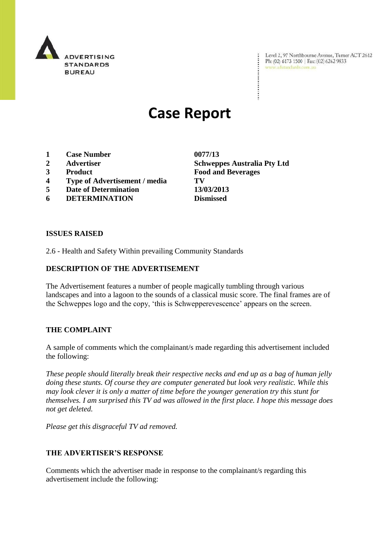

Level 2, 97 Northbourne Avenue, Turner ACT 2612 Ph: (02) 6173 1500 | Fax: (02) 6262 9833 www.adstandards.com.au

# **Case Report**

- **1 Case Number 0077/13**
- 
- 
- **4 Type of Advertisement / media TV**
- **5 Date of Determination 13/03/2013**
- **6 DETERMINATION Dismissed**

**ISSUES RAISED**

2.6 - Health and Safety Within prevailing Community Standards

# **DESCRIPTION OF THE ADVERTISEMENT**

The Advertisement features a number of people magically tumbling through various landscapes and into a lagoon to the sounds of a classical music score. The final frames are of the Schweppes logo and the copy, "this is Schwepperevescence" appears on the screen.

### **THE COMPLAINT**

A sample of comments which the complainant/s made regarding this advertisement included the following:

*These people should literally break their respective necks and end up as a bag of human jelly doing these stunts. Of course they are computer generated but look very realistic. While this may look clever it is only a matter of time before the younger generation try this stunt for themselves. I am surprised this TV ad was allowed in the first place. I hope this message does not get deleted.*

*Please get this disgraceful TV ad removed.*

# **THE ADVERTISER'S RESPONSE**

Comments which the advertiser made in response to the complainant/s regarding this advertisement include the following:

**2 Advertiser Schweppes Australia Pty Ltd 3 Product Food and Beverages**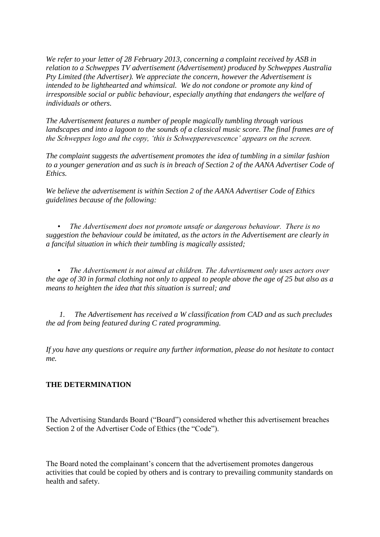*We refer to your letter of 28 February 2013, concerning a complaint received by ASB in relation to a Schweppes TV advertisement (Advertisement) produced by Schweppes Australia Pty Limited (the Advertiser). We appreciate the concern, however the Advertisement is intended to be lighthearted and whimsical. We do not condone or promote any kind of irresponsible social or public behaviour, especially anything that endangers the welfare of individuals or others.* 

*The Advertisement features a number of people magically tumbling through various landscapes and into a lagoon to the sounds of a classical music score. The final frames are of the Schweppes logo and the copy, 'this is Schwepperevescence' appears on the screen.* 

*The complaint suggests the advertisement promotes the idea of tumbling in a similar fashion to a younger generation and as such is in breach of Section 2 of the AANA Advertiser Code of Ethics.* 

*We believe the advertisement is within Section 2 of the AANA Advertiser Code of Ethics guidelines because of the following:* 

 *• The Advertisement does not promote unsafe or dangerous behaviour. There is no suggestion the behaviour could be imitated, as the actors in the Advertisement are clearly in a fanciful situation in which their tumbling is magically assisted;* 

 *• The Advertisement is not aimed at children. The Advertisement only uses actors over the age of 30 in formal clothing not only to appeal to people above the age of 25 but also as a means to heighten the idea that this situation is surreal; and*

 *1. The Advertisement has received a W classification from CAD and as such precludes the ad from being featured during C rated programming.*

*If you have any questions or require any further information, please do not hesitate to contact me.*

# **THE DETERMINATION**

The Advertising Standards Board ("Board") considered whether this advertisement breaches Section 2 of the Advertiser Code of Ethics (the "Code").

The Board noted the complainant's concern that the advertisement promotes dangerous activities that could be copied by others and is contrary to prevailing community standards on health and safety.